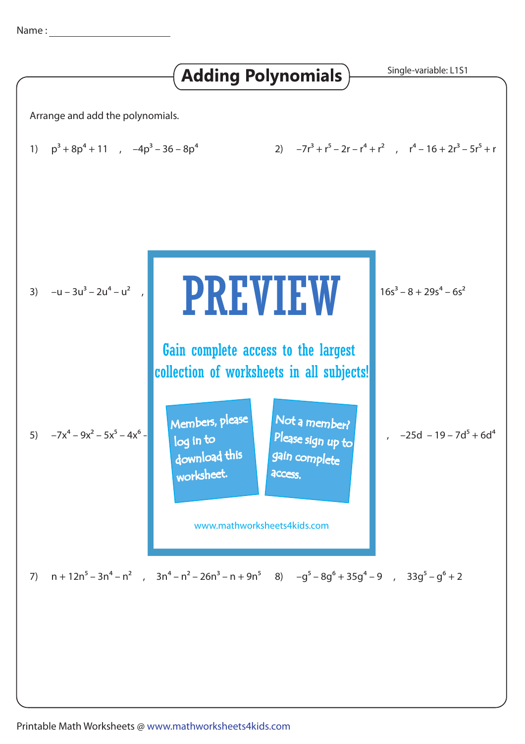